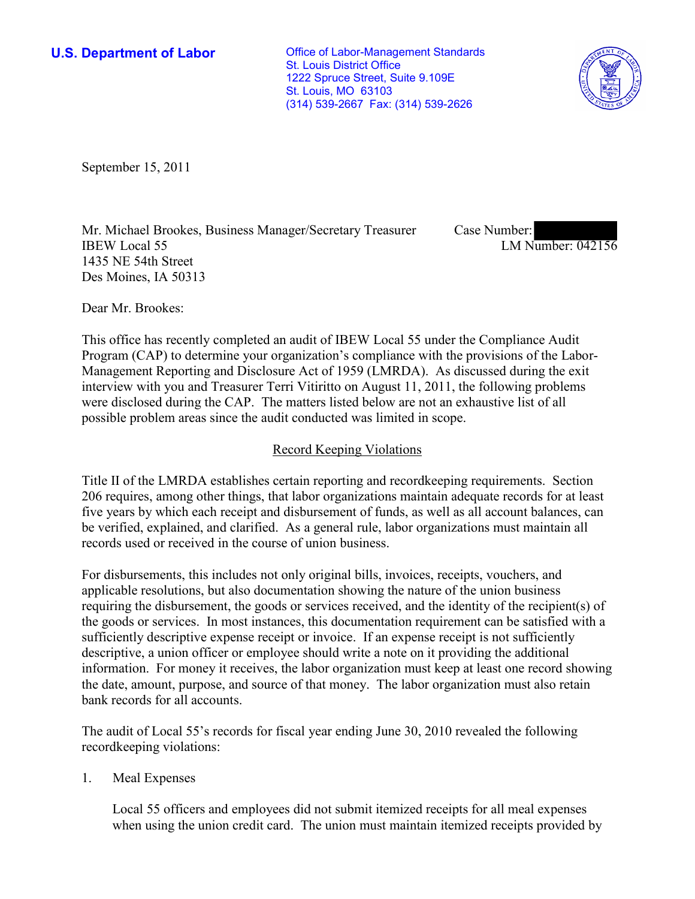**U.S. Department of Labor Conservative Conservative Conservative Conservative Conservative Conservative Conservative Conservative Conservative Conservative Conservative Conservative Conservative Conservative Conservative** St. Louis District Office 1222 Spruce Street, Suite 9.109E St. Louis, MO 63103 (314) 539-2667 Fax: (314) 539-2626



September 15, 2011

Mr. Michael Brookes, Business Manager/Secretary Treasurer IBEW Local 55 1435 NE 54th Street Des Moines, IA 50313

Case Number: LM Number: 042156

Dear Mr. Brookes:

This office has recently completed an audit of IBEW Local 55 under the Compliance Audit Program (CAP) to determine your organization's compliance with the provisions of the Labor-Management Reporting and Disclosure Act of 1959 (LMRDA). As discussed during the exit interview with you and Treasurer Terri Vitiritto on August 11, 2011, the following problems were disclosed during the CAP. The matters listed below are not an exhaustive list of all possible problem areas since the audit conducted was limited in scope.

### Record Keeping Violations

Title II of the LMRDA establishes certain reporting and recordkeeping requirements. Section 206 requires, among other things, that labor organizations maintain adequate records for at least five years by which each receipt and disbursement of funds, as well as all account balances, can be verified, explained, and clarified. As a general rule, labor organizations must maintain all records used or received in the course of union business.

For disbursements, this includes not only original bills, invoices, receipts, vouchers, and applicable resolutions, but also documentation showing the nature of the union business requiring the disbursement, the goods or services received, and the identity of the recipient(s) of the goods or services. In most instances, this documentation requirement can be satisfied with a sufficiently descriptive expense receipt or invoice. If an expense receipt is not sufficiently descriptive, a union officer or employee should write a note on it providing the additional information. For money it receives, the labor organization must keep at least one record showing the date, amount, purpose, and source of that money. The labor organization must also retain bank records for all accounts.

The audit of Local 55's records for fiscal year ending June 30, 2010 revealed the following recordkeeping violations:

1. Meal Expenses

Local 55 officers and employees did not submit itemized receipts for all meal expenses when using the union credit card. The union must maintain itemized receipts provided by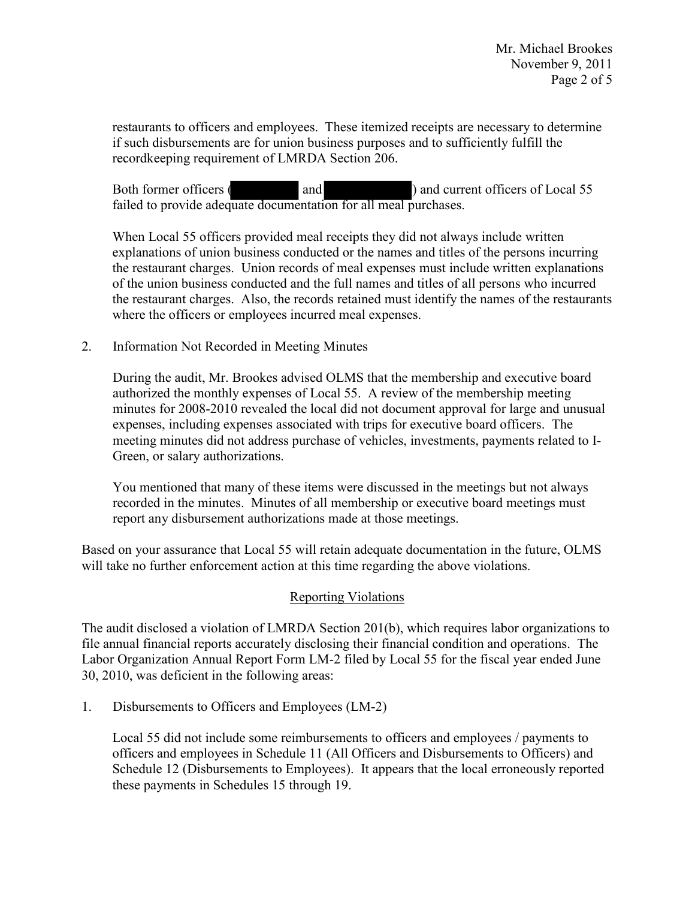restaurants to officers and employees. These itemized receipts are necessary to determine if such disbursements are for union business purposes and to sufficiently fulfill the recordkeeping requirement of LMRDA Section 206.

Both former officers ( and ) and current officers of Local 55 failed to provide adequate documentation for all meal purchases.

When Local 55 officers provided meal receipts they did not always include written explanations of union business conducted or the names and titles of the persons incurring the restaurant charges. Union records of meal expenses must include written explanations of the union business conducted and the full names and titles of all persons who incurred the restaurant charges. Also, the records retained must identify the names of the restaurants where the officers or employees incurred meal expenses.

2. Information Not Recorded in Meeting Minutes

During the audit, Mr. Brookes advised OLMS that the membership and executive board authorized the monthly expenses of Local 55. A review of the membership meeting minutes for 2008-2010 revealed the local did not document approval for large and unusual expenses, including expenses associated with trips for executive board officers. The meeting minutes did not address purchase of vehicles, investments, payments related to I-Green, or salary authorizations.

You mentioned that many of these items were discussed in the meetings but not always recorded in the minutes. Minutes of all membership or executive board meetings must report any disbursement authorizations made at those meetings.

Based on your assurance that Local 55 will retain adequate documentation in the future, OLMS will take no further enforcement action at this time regarding the above violations.

## Reporting Violations

The audit disclosed a violation of LMRDA Section 201(b), which requires labor organizations to file annual financial reports accurately disclosing their financial condition and operations. The Labor Organization Annual Report Form LM-2 filed by Local 55 for the fiscal year ended June 30, 2010, was deficient in the following areas:

1. Disbursements to Officers and Employees (LM-2)

Local 55 did not include some reimbursements to officers and employees / payments to officers and employees in Schedule 11 (All Officers and Disbursements to Officers) and Schedule 12 (Disbursements to Employees). It appears that the local erroneously reported these payments in Schedules 15 through 19.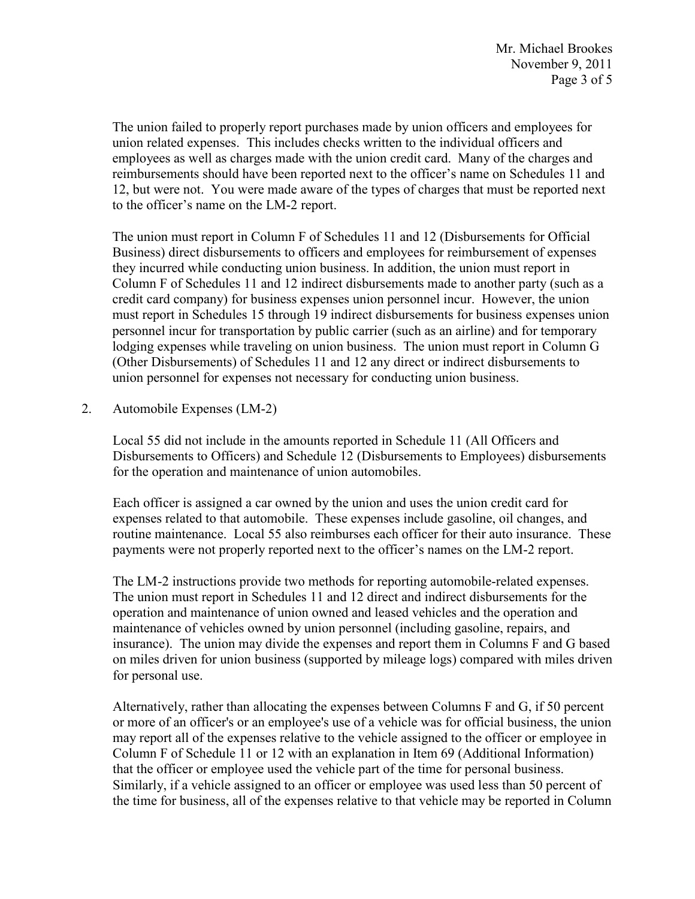The union failed to properly report purchases made by union officers and employees for union related expenses. This includes checks written to the individual officers and employees as well as charges made with the union credit card. Many of the charges and reimbursements should have been reported next to the officer's name on Schedules 11 and 12, but were not. You were made aware of the types of charges that must be reported next to the officer's name on the LM-2 report.

The union must report in Column F of Schedules 11 and 12 (Disbursements for Official Business) direct disbursements to officers and employees for reimbursement of expenses they incurred while conducting union business. In addition, the union must report in Column F of Schedules 11 and 12 indirect disbursements made to another party (such as a credit card company) for business expenses union personnel incur. However, the union must report in Schedules 15 through 19 indirect disbursements for business expenses union personnel incur for transportation by public carrier (such as an airline) and for temporary lodging expenses while traveling on union business. The union must report in Column G (Other Disbursements) of Schedules 11 and 12 any direct or indirect disbursements to union personnel for expenses not necessary for conducting union business.

2. Automobile Expenses (LM-2)

Local 55 did not include in the amounts reported in Schedule 11 (All Officers and Disbursements to Officers) and Schedule 12 (Disbursements to Employees) disbursements for the operation and maintenance of union automobiles.

Each officer is assigned a car owned by the union and uses the union credit card for expenses related to that automobile. These expenses include gasoline, oil changes, and routine maintenance. Local 55 also reimburses each officer for their auto insurance. These payments were not properly reported next to the officer's names on the LM-2 report.

The LM-2 instructions provide two methods for reporting automobile-related expenses. The union must report in Schedules 11 and 12 direct and indirect disbursements for the operation and maintenance of union owned and leased vehicles and the operation and maintenance of vehicles owned by union personnel (including gasoline, repairs, and insurance). The union may divide the expenses and report them in Columns F and G based on miles driven for union business (supported by mileage logs) compared with miles driven for personal use.

Alternatively, rather than allocating the expenses between Columns F and G, if 50 percent or more of an officer's or an employee's use of a vehicle was for official business, the union may report all of the expenses relative to the vehicle assigned to the officer or employee in Column F of Schedule 11 or 12 with an explanation in Item 69 (Additional Information) that the officer or employee used the vehicle part of the time for personal business. Similarly, if a vehicle assigned to an officer or employee was used less than 50 percent of the time for business, all of the expenses relative to that vehicle may be reported in Column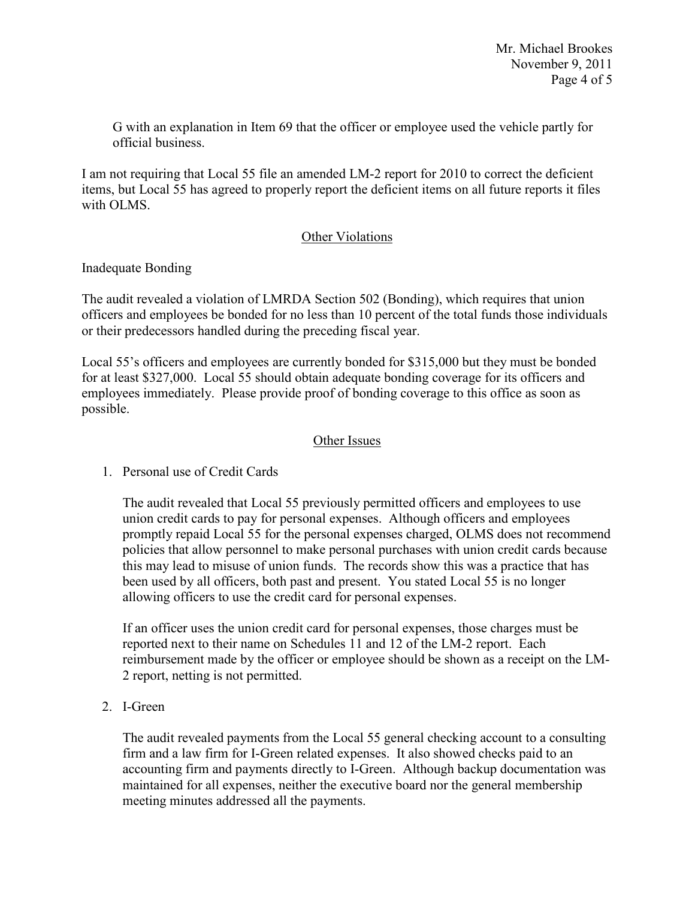G with an explanation in Item 69 that the officer or employee used the vehicle partly for official business.

I am not requiring that Local 55 file an amended LM-2 report for 2010 to correct the deficient items, but Local 55 has agreed to properly report the deficient items on all future reports it files with OLMS.

## Other Violations

## Inadequate Bonding

The audit revealed a violation of LMRDA Section 502 (Bonding), which requires that union officers and employees be bonded for no less than 10 percent of the total funds those individuals or their predecessors handled during the preceding fiscal year.

Local 55's officers and employees are currently bonded for \$315,000 but they must be bonded for at least \$327,000. Local 55 should obtain adequate bonding coverage for its officers and employees immediately. Please provide proof of bonding coverage to this office as soon as possible.

# Other Issues

# 1. Personal use of Credit Cards

The audit revealed that Local 55 previously permitted officers and employees to use union credit cards to pay for personal expenses. Although officers and employees promptly repaid Local 55 for the personal expenses charged, OLMS does not recommend policies that allow personnel to make personal purchases with union credit cards because this may lead to misuse of union funds. The records show this was a practice that has been used by all officers, both past and present. You stated Local 55 is no longer allowing officers to use the credit card for personal expenses.

If an officer uses the union credit card for personal expenses, those charges must be reported next to their name on Schedules 11 and 12 of the LM-2 report. Each reimbursement made by the officer or employee should be shown as a receipt on the LM-2 report, netting is not permitted.

2. I-Green

The audit revealed payments from the Local 55 general checking account to a consulting firm and a law firm for I-Green related expenses. It also showed checks paid to an accounting firm and payments directly to I-Green. Although backup documentation was maintained for all expenses, neither the executive board nor the general membership meeting minutes addressed all the payments.